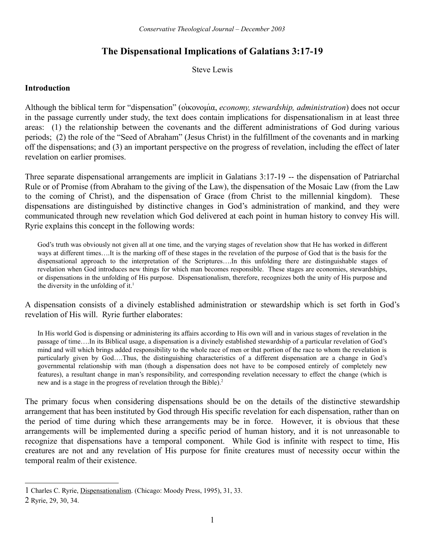# **The Dispensational Implications of Galatians 3:17-19**

Steve Lewis

## **Introduction**

Although the biblical term for "dispensation" (οικονομία, *economy, stewardship, administration*) does not occur in the passage currently under study, the text does contain implications for dispensationalism in at least three areas: (1) the relationship between the covenants and the different administrations of God during various periods; (2) the role of the "Seed of Abraham" (Jesus Christ) in the fulfillment of the covenants and in marking off the dispensations; and (3) an important perspective on the progress of revelation, including the effect of later revelation on earlier promises.

Three separate dispensational arrangements are implicit in Galatians 3:17-19 -- the dispensation of Patriarchal Rule or of Promise (from Abraham to the giving of the Law), the dispensation of the Mosaic Law (from the Law to the coming of Christ), and the dispensation of Grace (from Christ to the millennial kingdom). These dispensations are distinguished by distinctive changes in God's administration of mankind, and they were communicated through new revelation which God delivered at each point in human history to convey His will. Ryrie explains this concept in the following words:

God's truth was obviously not given all at one time, and the varying stages of revelation show that He has worked in different ways at different times….It is the marking off of these stages in the revelation of the purpose of God that is the basis for the dispensational approach to the interpretation of the Scriptures….In this unfolding there are distinguishable stages of revelation when God introduces new things for which man becomes responsible. These stages are economies, stewardships, or dispensations in the unfolding of His purpose. Dispensationalism, therefore, recognizes both the unity of His purpose and the diversity in the unfolding of it.<sup>[1](#page-0-0)</sup>

A dispensation consists of a divinely established administration or stewardship which is set forth in God's revelation of His will. Ryrie further elaborates:

In His world God is dispensing or administering its affairs according to His own will and in various stages of revelation in the passage of time….In its Biblical usage, a dispensation is a divinely established stewardship of a particular revelation of God's mind and will which brings added responsibility to the whole race of men or that portion of the race to whom the revelation is particularly given by God….Thus, the distinguishing characteristics of a different dispensation are a change in God's governmental relationship with man (though a dispensation does not have to be composed entirely of completely new features), a resultant change in man's responsibility, and corresponding revelation necessary to effect the change (which is new and is a stage in the progress of revelation through the Bible).<sup>[2](#page-0-1)</sup>

The primary focus when considering dispensations should be on the details of the distinctive stewardship arrangement that has been instituted by God through His specific revelation for each dispensation, rather than on the period of time during which these arrangements may be in force. However, it is obvious that these arrangements will be implemented during a specific period of human history, and it is not unreasonable to recognize that dispensations have a temporal component. While God is infinite with respect to time, His creatures are not and any revelation of His purpose for finite creatures must of necessity occur within the temporal realm of their existence.

<span id="page-0-0"></span><sup>1</sup> Charles C. Ryrie, Dispensationalism. (Chicago: Moody Press, 1995), 31, 33.

<span id="page-0-1"></span><sup>2</sup> Ryrie, 29, 30, 34.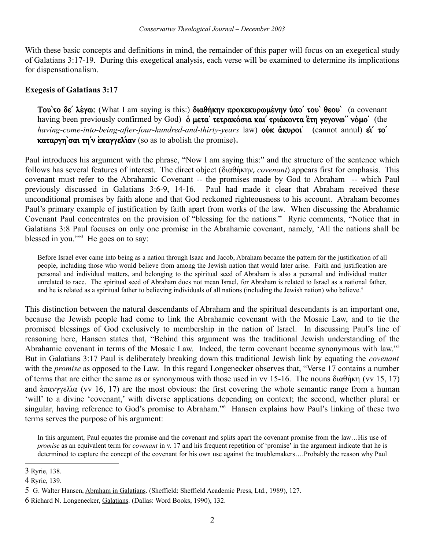With these basic concepts and definitions in mind, the remainder of this paper will focus on an exegetical study of Galatians 3:17-19. During this exegetical analysis, each verse will be examined to determine its implications for dispensationalism.

## **Exegesis of Galatians 3:17**

Tou'το δε' λέγω: (What I am saying is this:) διαθήκην προκεκυρωμένην ύπο' του' θεου' (a covenant having been previously confirmed by God) **o μετα** τετρακόσια και τριάκοντα ετη γεγονω" νόμο' (the *having-come-into-being-after-four-hundred-and-thirty-years* law) **ovk avapoi** (cannot annul)  $\dot{e}i'$  **τo'** καταργη`σαι τη' ν επαγγελίαν (so as to abolish the promise).

Paul introduces his argument with the phrase, "Now I am saying this:" and the structure of the sentence which follows has several features of interest. The direct object ( $\delta u \theta \hat{n} \kappa \eta v$ , *covenant*) appears first for emphasis. This covenant must refer to the Abrahamic Covenant -- the promises made by God to Abraham -- which Paul previously discussed in Galatians 3:6-9, 14-16. Paul had made it clear that Abraham received these unconditional promises by faith alone and that God reckoned righteousness to his account. Abraham becomes Paul's primary example of justification by faith apart from works of the law. When discussing the Abrahamic Covenant Paul concentrates on the provision of "blessing for the nations." Ryrie comments, "Notice that in Galatians 3:8 Paul focuses on only one promise in the Abrahamic covenant, namely, 'All the nations shall be blessed in you."<sup>[3](#page-1-0)</sup> He goes on to say:

Before Israel ever came into being as a nation through Isaac and Jacob, Abraham became the pattern for the justification of all people, including those who would believe from among the Jewish nation that would later arise. Faith and justification are personal and individual matters, and belonging to the spiritual seed of Abraham is also a personal and individual matter unrelated to race. The spiritual seed of Abraham does not mean Israel, for Abraham is related to Israel as a national father, and he is related as a spiritual father to believing individuals of all nations (including the Jewish nation) who believe.<sup>[4](#page-1-1)</sup>

This distinction between the natural descendants of Abraham and the spiritual descendants is an important one, because the Jewish people had come to link the Abrahamic covenant with the Mosaic Law, and to tie the promised blessings of God exclusively to membership in the nation of Israel. In discussing Paul's line of reasoning here, Hansen states that, "Behind this argument was the traditional Jewish understanding of the Abrahamic covenant in terms of the Mosaic Law. Indeed, the term covenant became synonymous with law."[5](#page-1-2) But in Galatians 3:17 Paul is deliberately breaking down this traditional Jewish link by equating the *covenant*  with the *promise* as opposed to the Law. In this regard Longenecker observes that, "Verse 17 contains a number of terms that are either the same as or synonymous with those used in vv 15-16. The nouns  $\delta u \theta$  nK (vv 15, 17) and  $\frac{\partial \pi}{\partial x}$  (vv 16, 17) are the most obvious: the first covering the whole semantic range from a human 'will' to a divine 'covenant,' with diverse applications depending on context; the second, whether plural or singular, having reference to God's promise to Abraham."<sup>[6](#page-1-3)</sup> Hansen explains how Paul's linking of these two terms serves the purpose of his argument:

In this argument, Paul equates the promise and the covenant and splits apart the covenant promise from the law…His use of *promise* as an equivalent term for *covenant* in v. 17 and his frequent repetition of 'promise' in the argument indicate that he is determined to capture the concept of the covenant for his own use against the troublemakers….Probably the reason why Paul

<span id="page-1-0"></span><sup>3</sup> Ryrie, 138.

<span id="page-1-1"></span><sup>4</sup> Ryrie, 139.

<span id="page-1-2"></span><sup>5</sup> G. Walter Hansen, Abraham in Galatians. (Sheffield: Sheffield Academic Press, Ltd., 1989), 127.

<span id="page-1-3"></span><sup>6</sup> Richard N. Longenecker, Galatians. (Dallas: Word Books, 1990), 132.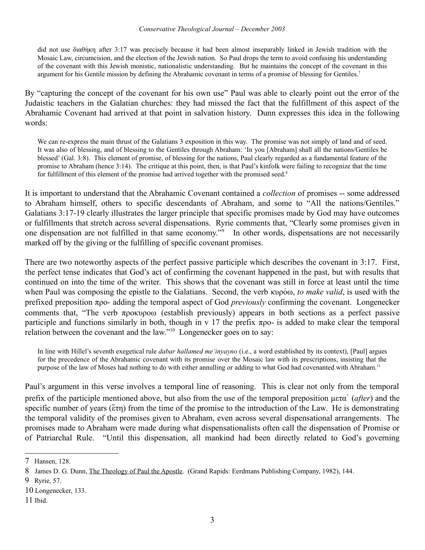### *Conservative Theological Journal – December 2003*

did not use  $\delta u \theta$  after 3:17 was precisely because it had been almost inseparably linked in Jewish tradition with the Mosaic Law, circumcision, and the election of the Jewish nation. So Paul drops the term to avoid confusing his understanding of the covenant with this Jewish monistic, nationalistic understanding. But he maintains the concept of the covenant in this argument for his Gentile mission by defining the Abrahamic covenant in terms of a promise of blessing for Gentiles.[7](#page-2-0)

By "capturing the concept of the covenant for his own use" Paul was able to clearly point out the error of the Judaistic teachers in the Galatian churches: they had missed the fact that the fulfillment of this aspect of the Abrahamic Covenant had arrived at that point in salvation history. Dunn expresses this idea in the following words:

We can re-express the main thrust of the Galatians 3 exposition in this way. The promise was not simply of land and of seed. It was also of blessing, and of blessing to the Gentiles through Abraham: 'In you [Abraham] shall all the nations/Gentiles be blessed' (Gal. 3:8). This element of promise, of blessing for the nations, Paul clearly regarded as a fundamental feature of the promise to Abraham (hence 3:14). The critique at this point, then, is that Paul's kinfolk were failing to recognize that the time for fulfillment of this element of the promise had arrived together with the promised seed. $8$ 

It is important to understand that the Abrahamic Covenant contained a *collection* of promises -- some addressed to Abraham himself, others to specific descendants of Abraham, and some to "All the nations/Gentiles." Galatians 3:17-19 clearly illustrates the larger principle that specific promises made by God may have outcomes or fulfillments that stretch across several dispensations. Ryrie comments that, "Clearly some promises given in one dispensation are not fulfilled in that same economy."[9](#page-2-2) In other words, dispensations are not necessarily marked off by the giving or the fulfilling of specific covenant promises.

There are two noteworthy aspects of the perfect passive participle which describes the covenant in 3:17. First, the perfect tense indicates that God's act of confirming the covenant happened in the past, but with results that continued on into the time of the writer. This shows that the covenant was still in force at least until the time when Paul was composing the epistle to the Galatians. Second, the verb κυρόω, *to make valid*, is used with the prefixed preposition pro- adding the temporal aspect of God *previously* confirming the covenant. Longenecker comments that, "The verb  $\pi$ pokupow (establish previously) appears in both sections as a perfect passive participle and functions similarly in both, though in v 17 the prefix  $\pi$ po- is added to make clear the temporal relation between the covenant and the law."[10](#page-2-3) Longenecker goes on to say:

In line with Hillel's seventh exegetical rule *dabar hallamed me'inyayno* (i.e., a word established by its context), [Paul] argues for the precedence of the Abrahamic covenant with its promise over the Mosaic law with its prescriptions, insisting that the purpose of the law of Moses had nothing to do with either annulling or adding to what God had covenanted with Abraham.[11](#page-2-4)

Paul's argument in this verse involves a temporal line of reasoning. This is clear not only from the temporal prefix of the participle mentioned above, but also from the use of the temporal preposition  $\mu \in \alpha'$  (*after*) and the specific number of years ( $\epsilon \tau \eta$ ) from the time of the promise to the introduction of the Law. He is demonstrating the temporal validity of the promises given to Abraham, even across several dispensational arrangements. The promises made to Abraham were made during what dispensationalists often call the dispensation of Promise or of Patriarchal Rule. "Until this dispensation, all mankind had been directly related to God's governing

<span id="page-2-0"></span><sup>7</sup> Hansen, 128.

<span id="page-2-1"></span><sup>8</sup> James D. G. Dunn, The Theology of Paul the Apostle. (Grand Rapids: Eerdmans Publishing Company, 1982), 144.

<span id="page-2-2"></span><sup>9</sup> Ryrie, 57.

<span id="page-2-3"></span><sup>10</sup> Longenecker, 133.

<span id="page-2-4"></span><sup>11</sup> Ibid.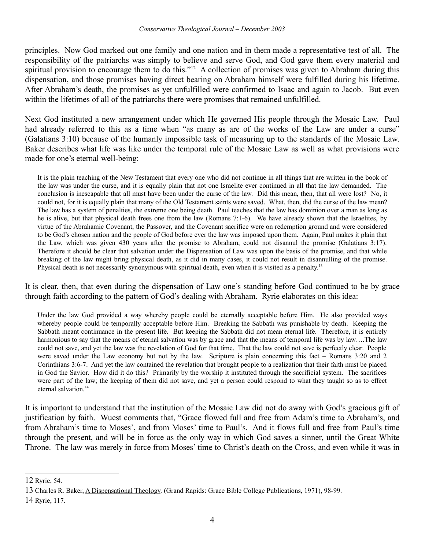principles. Now God marked out one family and one nation and in them made a representative test of all. The responsibility of the patriarchs was simply to believe and serve God, and God gave them every material and spiritual provision to encourage them to do this."<sup>[12](#page-3-0)</sup> A collection of promises was given to Abraham during this dispensation, and those promises having direct bearing on Abraham himself were fulfilled during his lifetime. After Abraham's death, the promises as yet unfulfilled were confirmed to Isaac and again to Jacob. But even within the lifetimes of all of the patriarchs there were promises that remained unfulfilled.

Next God instituted a new arrangement under which He governed His people through the Mosaic Law. Paul had already referred to this as a time when "as many as are of the works of the Law are under a curse" (Galatians 3:10) because of the humanly impossible task of measuring up to the standards of the Mosaic Law. Baker describes what life was like under the temporal rule of the Mosaic Law as well as what provisions were made for one's eternal well-being:

It is the plain teaching of the New Testament that every one who did not continue in all things that are written in the book of the law was under the curse, and it is equally plain that not one Israelite ever continued in all that the law demanded. The conclusion is inescapable that all must have been under the curse of the law. Did this mean, then, that all were lost? No, it could not, for it is equally plain that many of the Old Testament saints were saved. What, then, did the curse of the law mean? The law has a system of penalties, the extreme one being death. Paul teaches that the law has dominion over a man as long as he is alive, but that physical death frees one from the law (Romans 7:1-6). We have already shown that the Israelites, by virtue of the Abrahamic Covenant, the Passover, and the Covenant sacrifice were on redemption ground and were considered to be God's chosen nation and the people of God before ever the law was imposed upon them. Again, Paul makes it plain that the Law, which was given 430 years after the promise to Abraham, could not disannul the promise (Galatians 3:17). Therefore it should be clear that salvation under the Dispensation of Law was upon the basis of the promise, and that while breaking of the law might bring physical death, as it did in many cases, it could not result in disannulling of the promise. Physical death is not necessarily synonymous with spiritual death, even when it is visited as a penalty.<sup>[13](#page-3-1)</sup>

It is clear, then, that even during the dispensation of Law one's standing before God continued to be by grace through faith according to the pattern of God's dealing with Abraham. Ryrie elaborates on this idea:

Under the law God provided a way whereby people could be eternally acceptable before Him. He also provided ways whereby people could be temporally acceptable before Him. Breaking the Sabbath was punishable by death. Keeping the Sabbath meant continuance in the present life. But keeping the Sabbath did not mean eternal life. Therefore, it is entirely harmonious to say that the means of eternal salvation was by grace and that the means of temporal life was by law....The law could not save, and yet the law was the revelation of God for that time. That the law could not save is perfectly clear. People were saved under the Law economy but not by the law. Scripture is plain concerning this fact – Romans 3:20 and 2 Corinthians 3:6-7. And yet the law contained the revelation that brought people to a realization that their faith must be placed in God the Savior. How did it do this? Primarily by the worship it instituted through the sacrificial system. The sacrifices were part of the law; the keeping of them did not save, and yet a person could respond to what they taught so as to effect eternal salvation.<sup>[14](#page-3-2)</sup>

It is important to understand that the institution of the Mosaic Law did not do away with God's gracious gift of justification by faith. Wuest comments that, "Grace flowed full and free from Adam's time to Abraham's, and from Abraham's time to Moses', and from Moses' time to Paul's. And it flows full and free from Paul's time through the present, and will be in force as the only way in which God saves a sinner, until the Great White Throne. The law was merely in force from Moses' time to Christ's death on the Cross, and even while it was in

<span id="page-3-0"></span><sup>12</sup> Ryrie, 54.

<span id="page-3-1"></span><sup>13</sup> Charles R. Baker, A Dispensational Theology. (Grand Rapids: Grace Bible College Publications, 1971), 98-99.

<span id="page-3-2"></span><sup>14</sup> Ryrie, 117.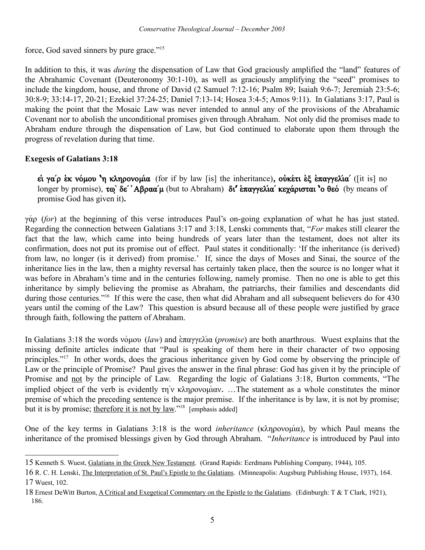force, God saved sinners by pure grace."<sup>[15](#page-4-0)</sup>

In addition to this, it was *during* the dispensation of Law that God graciously amplified the "land" features of the Abrahamic Covenant (Deuteronomy 30:1-10), as well as graciously amplifying the "seed" promises to include the kingdom, house, and throne of David (2 Samuel 7:12-16; Psalm 89; Isaiah 9:6-7; Jeremiah 23:5-6; 30:8-9; 33:14-17, 20-21; Ezekiel 37:24-25; Daniel 7:13-14; Hosea 3:4-5; Amos 9:11). In Galatians 3:17, Paul is making the point that the Mosaic Law was never intended to annul any of the provisions of the Abrahamic Covenant nor to abolish the unconditional promises given through Abraham. Not only did the promises made to Abraham endure through the dispensation of Law, but God continued to elaborate upon them through the progress of revelation during that time.

## **Exegesis of Galatians 3:18**

 $\vec{\bf{c}}$ *i* γα'ρ έκ νόμου <sup>'</sup>η κληρονομία (for if by law [is] the inheritance), οὐκέτι ἐξ ἐπαγγελία' ([it is] no longer by promise), τω<sup>'</sup> δε' 'Αβραα'μ (but to Abraham) **δι' επαγγελία' κεχάρισται 'ο θεό** (by means of promise God has given it)**.**

 $\gamma \dot{\alpha}$  (*for*) at the beginning of this verse introduces Paul's on-going explanation of what he has just stated. Regarding the connection between Galatians 3:17 and 3:18, Lenski comments that, "*For* makes still clearer the fact that the law, which came into being hundreds of years later than the testament, does not alter its confirmation, does not put its promise out of effect. Paul states it conditionally: 'If the inheritance (is derived) from law, no longer (is it derived) from promise.' If, since the days of Moses and Sinai, the source of the inheritance lies in the law, then a mighty reversal has certainly taken place, then the source is no longer what it was before in Abraham's time and in the centuries following, namely promise. Then no one is able to get this inheritance by simply believing the promise as Abraham, the patriarchs, their families and descendants did during those centuries."<sup>[16](#page-4-1)</sup> If this were the case, then what did Abraham and all subsequent believers do for 430 years until the coming of the Law? This question is absurd because all of these people were justified by grace through faith, following the pattern of Abraham.

In Galatians 3:18 the words νόμου (*law*) and επαγγελία (*promise*) are both anarthrous. Wuest explains that the missing definite articles indicate that "Paul is speaking of them here in their character of two opposing principles."[17](#page-4-2) In other words, does the gracious inheritance given by God come by observing the principle of Law or the principle of Promise? Paul gives the answer in the final phrase: God has given it by the principle of Promise and not by the principle of Law. Regarding the logic of Galatians 3:18, Burton comments, "The implied object of the verb is evidently  $\tau\eta'v \kappa\lambda\eta\rho ovo\mu' \omega v$ . …The statement as a whole constitutes the minor premise of which the preceding sentence is the major premise. If the inheritance is by law, it is not by promise; but it is by promise; therefore it is not by law."<sup>[18](#page-4-3)</sup> [emphasis added]

One of the key terms in Galatians  $3:18$  is the word *inheritance* ( $\kappa\lambda n\rho ovou'(\alpha)$ , by which Paul means the inheritance of the promised blessings given by God through Abraham. "*Inheritance* is introduced by Paul into

<span id="page-4-0"></span><sup>15</sup> Kenneth S. Wuest, Galatians in the Greek New Testament. (Grand Rapids: Eerdmans Publishing Company, 1944), 105.

<span id="page-4-2"></span><span id="page-4-1"></span><sup>16</sup> R. C. H. Lenski, The Interpretation of St. Paul's Epistle to the Galatians. (Minneapolis: Augsburg Publishing House, 1937), 164. 17 Wuest, 102.

<span id="page-4-3"></span><sup>18</sup> Ernest DeWitt Burton, A Critical and Exegetical Commentary on the Epistle to the Galatians. (Edinburgh: T & T Clark, 1921), 186.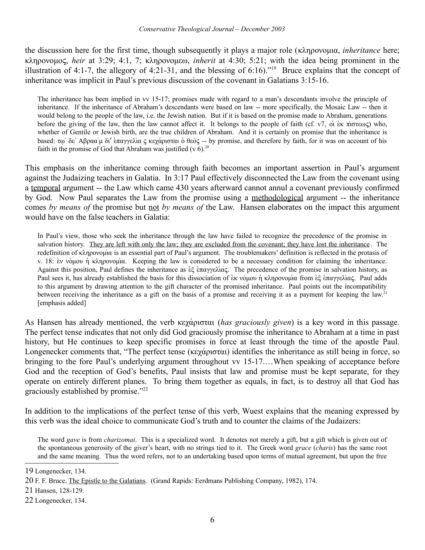the discussion here for the first time, though subsequently it plays a major role (κληρονομια, *inheritance* here; klhronomoς, *heir* at 3:29; 4:1, 7; klhronomew, *inherit* at 4:30; 5:21; with the idea being prominent in the illustration of 4:1-7, the allegory of 4:21-31, and the blessing of 6:16).<sup>"[19](#page-5-0)</sup> Bruce explains that the concept of inheritance was implicit in Paul's previous discussion of the covenant in Galatians 3:15-16.

The inheritance has been implied in vv 15-17; promises made with regard to a man's descendants involve the principle of inheritance. If the inheritance of Abraham's descendants were based on law -- more specifically, the Mosaic Law -- then it would belong to the people of the law, i.e. the Jewish nation. But if it is based on the promise made to Abraham, generations before the giving of the law, then the law cannot affect it. It belongs to the people of faith (cf. v7, oi  $\kappa \pi(\sigma \epsilon \omega \zeta)$  who, whether of Gentile or Jewish birth, are the true children of Abraham. And it is certainly on promise that the inheritance is based: τω δε' Αβραα'μ δι' επαγγελία ς κεχάρισται ο θεός -- by promise, and therefore by faith, for it was on account of his faith in the promise of God that Abraham was justified (v  $6$ ).<sup>[20](#page-5-1)</sup>

This emphasis on the inheritance coming through faith becomes an important assertion in Paul's argument against the Judaizing teachers in Galatia. In 3:17 Paul effectively disconnected the Law from the covenant using a temporal argument -- the Law which came 430 years afterward cannot annul a covenant previously confirmed by God. Now Paul separates the Law from the promise using a methodological argument -- the inheritance comes *by means of* the promise but not *by means of* the Law. Hansen elaborates on the impact this argument would have on the false teachers in Galatia:

In Paul's view, those who seek the inheritance through the law have failed to recognize the precedence of the promise in salvation history. They are left with only the law; they are excluded from the covenant; they have lost the inheritance. The redefinition of  $\kappa\lambda$ ηρονομία is an essential part of Paul's argument. The troublemakers' definition is reflected in the protasis of v. 18: εν νόμου ή κληρονομία. Keeping the law is considered to be a necessary condition for claiming the inheritance. Against this position, Paul defines the inheritance as  $\epsilon\xi$   $\epsilon\pi\alpha\gamma$  example  $\alpha$ . The precedence of the promise in salvation history, as Paul sees it, has already established the basis for this dissociation of  $\epsilon$ <sub>K</sub> νόμου ή κληρονομία from  $\epsilon \xi \epsilon \pi \alpha \gamma y \epsilon \lambda \alpha \zeta$ . Paul adds to this argument by drawing attention to the gift character of the promised inheritance. Paul points out the incompatibility between receiving the inheritance as a gift on the basis of a promise and receiving it as a payment for keeping the law.<sup>[21](#page-5-2)</sup> [emphasis added]

As Hansen has already mentioned, the verb κεγάρισται (*has graciously given*) is a key word in this passage. The perfect tense indicates that not only did God graciously promise the inheritance to Abraham at a time in past history, but He continues to keep specific promises in force at least through the time of the apostle Paul. Longenecker comments that, "The perfect tense ( $\kappa \epsilon \chi \alpha \rho \iota \sigma \tau \alpha$ ) identifies the inheritance as still being in force, so bringing to the fore Paul's underlying argument throughout vv 15-17... When speaking of acceptance before God and the reception of God's benefits, Paul insists that law and promise must be kept separate, for they operate on entirely different planes. To bring them together as equals, in fact, is to destroy all that God has graciously established by promise."<sup>[22](#page-5-3)</sup>

In addition to the implications of the perfect tense of this verb, Wuest explains that the meaning expressed by this verb was the ideal choice to communicate God's truth and to counter the claims of the Judaizers:

The word *gave* is from *charizomai*. This is a specialized word. It denotes not merely a gift, but a gift which is given out of the spontaneous generosity of the giver's heart, with no strings tied to it. The Greek word *grace* (*charis*) has the same root and the same meaning. Thus the word refers, not to an undertaking based upon terms of mutual agreement, but upon the free

<span id="page-5-0"></span><sup>19</sup> Longenecker, 134.

<span id="page-5-1"></span><sup>20</sup> F. F. Bruce, The Epistle to the Galatians. (Grand Rapids: Eerdmans Publishing Company, 1982), 174.

<span id="page-5-2"></span><sup>21</sup> Hansen, 128-129.

<span id="page-5-3"></span><sup>22</sup> Longenecker, 134.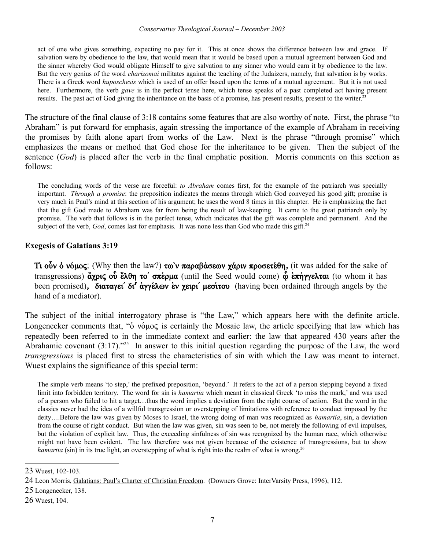#### *Conservative Theological Journal – December 2003*

act of one who gives something, expecting no pay for it. This at once shows the difference between law and grace. If salvation were by obedience to the law, that would mean that it would be based upon a mutual agreement between God and the sinner whereby God would obligate Himself to give salvation to any sinner who would earn it by obedience to the law. But the very genius of the word *charizomai* militates against the teaching of the Judaizers, namely, that salvation is by works. There is a Greek word *huposchesis* which is used of an offer based upon the terms of a mutual agreement. But it is not used here. Furthermore, the verb *gave* is in the perfect tense here, which tense speaks of a past completed act having present results. The past act of God giving the inheritance on the basis of a promise, has present results, present to the writer.<sup>[23](#page-6-0)</sup>

The structure of the final clause of 3:18 contains some features that are also worthy of note. First, the phrase "to Abraham" is put forward for emphasis, again stressing the importance of the example of Abraham in receiving the promises by faith alone apart from works of the Law. Next is the phrase "through promise" which emphasizes the means or method that God chose for the inheritance to be given. Then the subject of the sentence (*God*) is placed after the verb in the final emphatic position. Morris comments on this section as follows:

The concluding words of the verse are forceful: *to Abraham* comes first, for the example of the patriarch was specially important. *Through a promise*: the preposition indicates the means through which God conveyed his good gift; promise is very much in Paul's mind at this section of his argument; he uses the word 8 times in this chapter. He is emphasizing the fact that the gift God made to Abraham was far from being the result of law-keeping. It came to the great patriarch only by promise. The verb that follows is in the perfect tense, which indicates that the gift was complete and permanent. And the subject of the verb, *God*, comes last for emphasis. It was none less than God who made this gift.<sup>[24](#page-6-1)</sup>

### **Exegesis of Galatians 3:19**

Ti  $\omega$ <sup>v</sup>  $\psi$  over the law?)  $\tau \omega$   $\nu \pi \alpha \rho \alpha \beta \alpha \sigma \epsilon \omega \gamma \alpha \rho \rho \nu \pi \rho \sigma \epsilon \epsilon \theta \eta$ , (it was added for the sake of transgressions)  $\tilde{\alpha}$ χρις οὖ ἔλθη το' σπέρμα (until the Seed would come)  $\tilde{\omega}$  επήγγελται (to whom it has been promised), **διαταγει' δι' άγγέλων εν χειρι' μεσίτου** (having been ordained through angels by the hand of a mediator).

The subject of the initial interrogatory phrase is "the Law," which appears here with the definite article. Longenecker comments that, " $\acute{o}$  νόμος is certainly the Mosaic law, the article specifying that law which has repeatedly been referred to in the immediate context and earlier: the law that appeared 430 years after the Abrahamic covenant  $(3:17)$ ."<sup>[25](#page-6-2)</sup> In answer to this initial question regarding the purpose of the Law, the word *transgressions* is placed first to stress the characteristics of sin with which the Law was meant to interact. Wuest explains the significance of this special term:

The simple verb means 'to step,' the prefixed preposition, 'beyond.' It refers to the act of a person stepping beyond a fixed limit into forbidden territory. The word for sin is *hamartia* which meant in classical Greek 'to miss the mark,' and was used of a person who failed to hit a target…thus the word implies a deviation from the right course of action. But the word in the classics never had the idea of a willful transgression or overstepping of limitations with reference to conduct imposed by the deity….Before the law was given by Moses to Israel, the wrong doing of man was recognized as *hamartia*, sin, a deviation from the course of right conduct. But when the law was given, sin was seen to be, not merely the following of evil impulses, but the violation of explicit law. Thus, the exceeding sinfulness of sin was recognized by the human race, which otherwise might not have been evident. The law therefore was not given because of the existence of transgressions, but to show *hamartia* (sin) in its true light, an overstepping of what is right into the realm of what is wrong.<sup>[26](#page-6-3)</sup>

<span id="page-6-0"></span><sup>23</sup> Wuest, 102-103.

<span id="page-6-1"></span><sup>24</sup> Leon Morris, Galatians: Paul's Charter of Christian Freedom. (Downers Grove: InterVarsity Press, 1996), 112.

<span id="page-6-2"></span><sup>25</sup> Longenecker, 138.

<span id="page-6-3"></span><sup>26</sup> Wuest, 104.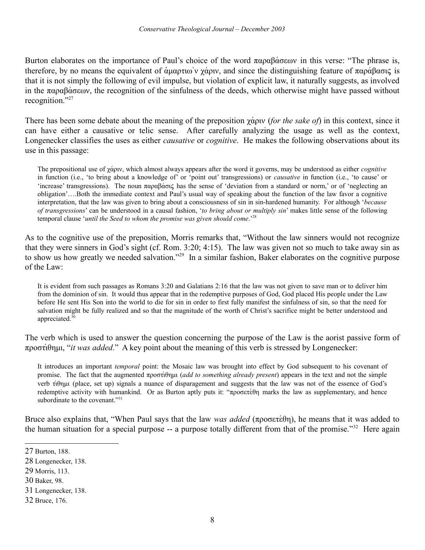Burton elaborates on the importance of Paul's choice of the word  $\pi \alpha \beta \alpha \beta \alpha \epsilon \omega$  in this verse: "The phrase is, therefore, by no means the equivalent of  $\alpha\alpha\gamma\alpha\gamma\alpha\gamma\gamma$ , and since the distinguishing feature of  $\pi\alpha\rho\alpha\beta\alpha\sigma\gamma\gamma$  is that it is not simply the following of evil impulse, but violation of explicit law, it naturally suggests, as involved in the  $\pi \alpha \beta \alpha \sigma \epsilon \omega v$ , the recognition of the sinfulness of the deeds, which otherwise might have passed without recognition."[27](#page-7-0)

There has been some debate about the meaning of the preposition  $\chi \dot{\alpha}$  (*for the sake of*) in this context, since it can have either a causative or telic sense. After carefully analyzing the usage as well as the context, Longenecker classifies the uses as either *causative* or *cognitive*. He makes the following observations about its use in this passage:

The prepositional use of  $\gamma \acute{\alpha} \rho \nu$ , which almost always appears after the word it governs, may be understood as either *cognitive* in function (i.e., 'to bring about a knowledge of' or 'point out' transgressions) or *causative* in function (i.e., 'to cause' or 'increase' transgressions). The noun  $\pi \alpha \alpha \beta \alpha \sigma \alpha$  has the sense of 'deviation from a standard or norm,' or of 'neglecting an obligation'….Both the immediate context and Paul's usual way of speaking about the function of the law favor a cognitive interpretation, that the law was given to bring about a consciousness of sin in sin-hardened humanity. For although '*because of transgressions*' can be understood in a causal fashion, '*to bring about or multiply sin*' makes little sense of the following temporal clause '*until the Seed to whom the promise was given should come*.'[28](#page-7-1)

As to the cognitive use of the preposition, Morris remarks that, "Without the law sinners would not recognize that they were sinners in God's sight (cf. Rom. 3:20; 4:15). The law was given not so much to take away sin as to show us how greatly we needed salvation."<sup>[29](#page-7-2)</sup> In a similar fashion, Baker elaborates on the cognitive purpose of the Law:

It is evident from such passages as Romans 3:20 and Galatians 2:16 that the law was not given to save man or to deliver him from the dominion of sin. It would thus appear that in the redemptive purposes of God, God placed His people under the Law before He sent His Son into the world to die for sin in order to first fully manifest the sinfulness of sin, so that the need for salvation might be fully realized and so that the magnitude of the worth of Christ's sacrifice might be better understood and appreciated.<sup>[30](#page-7-3)</sup>

The verb which is used to answer the question concerning the purpose of the Law is the aorist passive form of προστίθημι, "*it was added*." A key point about the meaning of this verb is stressed by Longenecker:

It introduces an important *temporal* point: the Mosaic law was brought into effect by God subsequent to his covenant of promise. The fact that the augmented  $\pi \rho \circ \sigma \dot{\tau}(\theta)$  and *to something already present*) appears in the text and not the simple verb τίθημι (place, set up) signals a nuance of disparagement and suggests that the law was not of the essence of God's redemptive activity with humankind. Or as Burton aptly puts it: " $\pi \rho \circ \sigma \varepsilon \dot{\tau}$  marks the law as supplementary, and hence subordinate to the covenant."<sup>[31](#page-7-4)</sup>

Bruce also explains that, "When Paul says that the law *was added*  $(\pi \rho o \sigma \epsilon \tau \epsilon \theta \eta)$ , he means that it was added to the human situation for a special purpose -- a purpose totally different from that of the promise."<sup>[32](#page-7-5)</sup> Here again

<span id="page-7-0"></span><sup>27</sup> Burton, 188.

<span id="page-7-1"></span><sup>28</sup> Longenecker, 138.

<span id="page-7-2"></span><sup>29</sup> Morris, 113.

<span id="page-7-3"></span><sup>30</sup> Baker, 98.

<span id="page-7-4"></span><sup>31</sup> Longenecker, 138.

<span id="page-7-5"></span><sup>32</sup> Bruce, 176.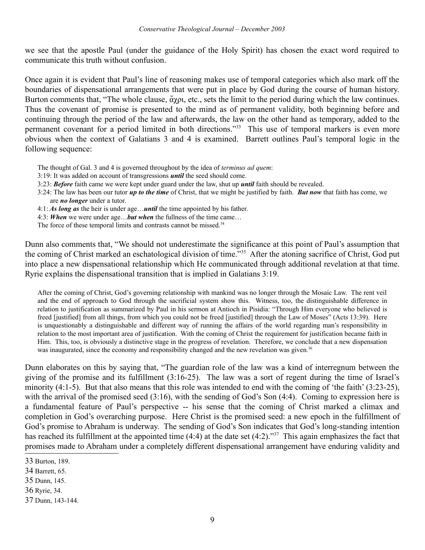we see that the apostle Paul (under the guidance of the Holy Spirit) has chosen the exact word required to communicate this truth without confusion.

Once again it is evident that Paul's line of reasoning makes use of temporal categories which also mark off the boundaries of dispensational arrangements that were put in place by God during the course of human history. Burton comments that, "The whole clause,  $\alpha_{\chi}$  etc., sets the limit to the period during which the law continues. Thus the covenant of promise is presented to the mind as of permanent validity, both beginning before and continuing through the period of the law and afterwards, the law on the other hand as temporary, added to the permanent covenant for a period limited in both directions."<sup>[33](#page-8-0)</sup> This use of temporal markers is even more obvious when the context of Galatians 3 and 4 is examined. Barrett outlines Paul's temporal logic in the following sequence:

- The thought of Gal. 3 and 4 is governed throughout by the idea of *terminus ad quem*:
- 3:19: It was added on account of transgressions *until* the seed should come.
- 3:23: *Before* faith came we were kept under guard under the law, shut up *until* faith should be revealed.
- 3:24: The law has been our tutor *up to the time* of Christ, that we might be justified by faith. *But now* that faith has come, we are *no longer* under a tutor.
- 4:1: *As long as* the heir is under age…*until* the time appointed by his father.
- 4:3: *When* we were under age…*but when* the fullness of the time came…
- The force of these temporal limits and contrasts cannot be missed.<sup>[34](#page-8-1)</sup>

Dunn also comments that, "We should not underestimate the significance at this point of Paul's assumption that the coming of Christ marked an eschatological division of time."[35](#page-8-2) After the atoning sacrifice of Christ, God put into place a new dispensational relationship which He communicated through additional revelation at that time. Ryrie explains the dispensational transition that is implied in Galatians 3:19.

After the coming of Christ, God's governing relationship with mankind was no longer through the Mosaic Law. The rent veil and the end of approach to God through the sacrificial system show this. Witness, too, the distinguishable difference in relation to justification as summarized by Paul in his sermon at Antioch in Pisidia: "Through Him everyone who believed is freed [justified] from all things, from which you could not be freed [justified] through the Law of Moses" (Acts 13:39). Here is unquestionably a distinguishable and different way of running the affairs of the world regarding man's responsibility in relation to the most important area of justification. With the coming of Christ the requirement for justification became faith in Him. This, too, is obviously a distinctive stage in the progress of revelation. Therefore, we conclude that a new dispensation was inaugurated, since the economy and responsibility changed and the new revelation was given.<sup>[36](#page-8-3)</sup>

Dunn elaborates on this by saying that, "The guardian role of the law was a kind of interregnum between the giving of the promise and its fulfillment (3:16-25). The law was a sort of regent during the time of Israel's minority (4:1-5). But that also means that this role was intended to end with the coming of 'the faith' (3:23-25), with the arrival of the promised seed (3:16), with the sending of God's Son (4:4). Coming to expression here is a fundamental feature of Paul's perspective -- his sense that the coming of Christ marked a climax and completion in God's overarching purpose. Here Christ is the promised seed: a new epoch in the fulfillment of God's promise to Abraham is underway. The sending of God's Son indicates that God's long-standing intention has reached its fulfillment at the appointed time (4:4) at the date set (4:2)."<sup>[37](#page-8-4)</sup> This again emphasizes the fact that promises made to Abraham under a completely different dispensational arrangement have enduring validity and

<span id="page-8-0"></span><sup>33</sup> Burton, 189.

<span id="page-8-1"></span><sup>34</sup> Barrett, 65.

<span id="page-8-2"></span><sup>35</sup> Dunn, 145.

<span id="page-8-3"></span><sup>36</sup> Ryrie, 34.

<span id="page-8-4"></span><sup>37</sup> Dunn, 143-144.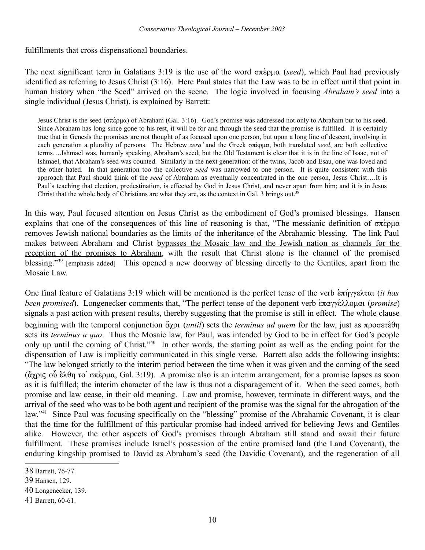fulfillments that cross dispensational boundaries.

The next significant term in Galatians 3:19 is the use of the word  $\sigma \pi \epsilon \rho \mu \alpha$  (*seed*), which Paul had previously identified as referring to Jesus Christ (3:16). Here Paul states that the Law was to be in effect until that point in human history when "the Seed" arrived on the scene. The logic involved in focusing *Abraham's seed* into a single individual (Jesus Christ), is explained by Barrett:

Jesus Christ is the seed ( $\sigma \pi \epsilon_D u \alpha$ ) of Abraham (Gal. 3:16). God's promise was addressed not only to Abraham but to his seed. Since Abraham has long since gone to his rest, it will be for and through the seed that the promise is fulfilled. It is certainly true that in Genesis the promises are not thought of as focused upon one person, but upon a long line of descent, involving in each generation a plurality of persons. The Hebrew *zera'* and the Greek  $\sigma \pi \epsilon \rho \mu \alpha$ , both translated *seed*, are both collective terms….Ishmael was, humanly speaking, Abraham's seed; but the Old Testament is clear that it is in the line of Isaac, not of Ishmael, that Abraham's seed was counted. Similarly in the next generation: of the twins, Jacob and Esau, one was loved and the other hated. In that generation too the collective *seed* was narrowed to one person. It is quite consistent with this approach that Paul should think of the *seed* of Abraham as eventually concentrated in the one person, Jesus Christ….It is Paul's teaching that election, predestination, is effected by God in Jesus Christ, and never apart from him; and it is in Jesus Christ that the whole body of Christians are what they are, as the context in Gal. 3 brings out.<sup>[38](#page-9-0)</sup>

In this way, Paul focused attention on Jesus Christ as the embodiment of God's promised blessings. Hansen explains that one of the consequences of this line of reasoning is that, "The messianic definition of  $\sigma \pi \epsilon \rho \mu \alpha$ removes Jewish national boundaries as the limits of the inheritance of the Abrahamic blessing. The link Paul makes between Abraham and Christ bypasses the Mosaic law and the Jewish nation as channels for the reception of the promises to Abraham, with the result that Christ alone is the channel of the promised blessing."<sup>[39](#page-9-1)</sup> [emphasis added] This opened a new doorway of blessing directly to the Gentiles, apart from the Mosaic Law.

One final feature of Galatians 3:19 which will be mentioned is the perfect tense of the verb  $\epsilon \pi \eta \gamma \gamma \epsilon \lambda \tau \alpha$  (*it has been promised*). Longenecker comments that, "The perfect tense of the deponent verb επαγγέλλομαι (*promise*) signals a past action with present results, thereby suggesting that the promise is still in effect. The whole clause beginning with the temporal conjunction  $\alpha_{\gamma}$  (*until*) sets the *terminus ad quem* for the law, just as  $\pi$ pooste $\theta$ n sets its *terminus a quo*. Thus the Mosaic law, for Paul, was intended by God to be in effect for God's people only up until the coming of Christ."[40](#page-9-2) In other words, the starting point as well as the ending point for the dispensation of Law is implicitly communicated in this single verse. Barrett also adds the following insights: "The law belonged strictly to the interim period between the time when it was given and the coming of the seed (άγρις οὗ ἔλθη το' σπέρμα, Gal. 3:19). A promise also is an interim arrangement, for a promise lapses as soon as it is fulfilled; the interim character of the law is thus not a disparagement of it. When the seed comes, both promise and law cease, in their old meaning. Law and promise, however, terminate in different ways, and the arrival of the seed who was to be both agent and recipient of the promise was the signal for the abrogation of the law."<sup>[41](#page-9-3)</sup> Since Paul was focusing specifically on the "blessing" promise of the Abrahamic Covenant, it is clear that the time for the fulfillment of this particular promise had indeed arrived for believing Jews and Gentiles alike. However, the other aspects of God's promises through Abraham still stand and await their future fulfillment. These promises include Israel's possession of the entire promised land (the Land Covenant), the enduring kingship promised to David as Abraham's seed (the Davidic Covenant), and the regeneration of all

<span id="page-9-0"></span><sup>38</sup> Barrett, 76-77.

<span id="page-9-1"></span><sup>39</sup> Hansen, 129.

<span id="page-9-2"></span><sup>40</sup> Longenecker, 139.

<span id="page-9-3"></span><sup>41</sup> Barrett, 60-61.